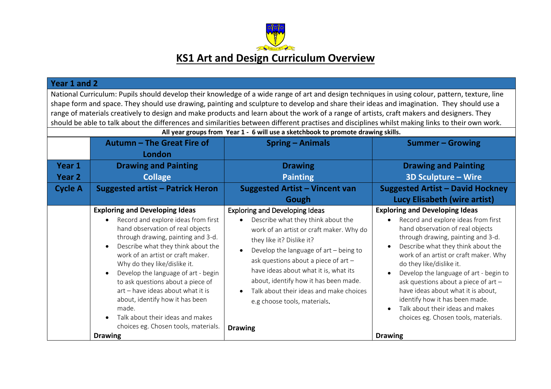

| Year 1 and 2                                                                                                                                                                                                                                                                                                                                                                                                                                                                                                                                                                                                                                                                       |                                                                                                                                                                                                                                                                                                                                                                                                                                                                                                                                                        |                                                                                                                                                                                                                                                                                                                                                                                                                         |                                                                                                                                                                                                                                                                                                                                                                                                                                                                                                                                                                  |  |  |  |
|------------------------------------------------------------------------------------------------------------------------------------------------------------------------------------------------------------------------------------------------------------------------------------------------------------------------------------------------------------------------------------------------------------------------------------------------------------------------------------------------------------------------------------------------------------------------------------------------------------------------------------------------------------------------------------|--------------------------------------------------------------------------------------------------------------------------------------------------------------------------------------------------------------------------------------------------------------------------------------------------------------------------------------------------------------------------------------------------------------------------------------------------------------------------------------------------------------------------------------------------------|-------------------------------------------------------------------------------------------------------------------------------------------------------------------------------------------------------------------------------------------------------------------------------------------------------------------------------------------------------------------------------------------------------------------------|------------------------------------------------------------------------------------------------------------------------------------------------------------------------------------------------------------------------------------------------------------------------------------------------------------------------------------------------------------------------------------------------------------------------------------------------------------------------------------------------------------------------------------------------------------------|--|--|--|
| National Curriculum: Pupils should develop their knowledge of a wide range of art and design techniques in using colour, pattern, texture, line<br>shape form and space. They should use drawing, painting and sculpture to develop and share their ideas and imagination. They should use a<br>range of materials creatively to design and make products and learn about the work of a range of artists, craft makers and designers. They<br>should be able to talk about the differences and similarities between different practises and disciplines whilst making links to their own work.<br>All year groups from Year 1 - 6 will use a sketchbook to promote drawing skills. |                                                                                                                                                                                                                                                                                                                                                                                                                                                                                                                                                        |                                                                                                                                                                                                                                                                                                                                                                                                                         |                                                                                                                                                                                                                                                                                                                                                                                                                                                                                                                                                                  |  |  |  |
|                                                                                                                                                                                                                                                                                                                                                                                                                                                                                                                                                                                                                                                                                    | Autumn - The Great Fire of<br>London                                                                                                                                                                                                                                                                                                                                                                                                                                                                                                                   | <b>Spring - Animals</b>                                                                                                                                                                                                                                                                                                                                                                                                 | <b>Summer-Growing</b>                                                                                                                                                                                                                                                                                                                                                                                                                                                                                                                                            |  |  |  |
| Year 1<br>Year <sub>2</sub>                                                                                                                                                                                                                                                                                                                                                                                                                                                                                                                                                                                                                                                        | <b>Drawing and Painting</b><br><b>Collage</b>                                                                                                                                                                                                                                                                                                                                                                                                                                                                                                          | <b>Drawing</b><br><b>Painting</b>                                                                                                                                                                                                                                                                                                                                                                                       | <b>Drawing and Painting</b><br><b>3D Sculpture - Wire</b>                                                                                                                                                                                                                                                                                                                                                                                                                                                                                                        |  |  |  |
| <b>Cycle A</b>                                                                                                                                                                                                                                                                                                                                                                                                                                                                                                                                                                                                                                                                     | <b>Suggested artist - Patrick Heron</b>                                                                                                                                                                                                                                                                                                                                                                                                                                                                                                                | <b>Suggested Artist - Vincent van</b><br>Gough                                                                                                                                                                                                                                                                                                                                                                          | <b>Suggested Artist - David Hockney</b><br><b>Lucy Elisabeth (wire artist)</b>                                                                                                                                                                                                                                                                                                                                                                                                                                                                                   |  |  |  |
|                                                                                                                                                                                                                                                                                                                                                                                                                                                                                                                                                                                                                                                                                    | <b>Exploring and Developing Ideas</b><br>Record and explore ideas from first<br>$\bullet$<br>hand observation of real objects<br>through drawing, painting and 3-d.<br>Describe what they think about the<br>work of an artist or craft maker.<br>Why do they like/dislike it.<br>Develop the language of art - begin<br>$\bullet$<br>to ask questions about a piece of<br>art - have ideas about what it is<br>about, identify how it has been<br>made.<br>Talk about their ideas and makes<br>choices eg. Chosen tools, materials.<br><b>Drawing</b> | <b>Exploring and Developing Ideas</b><br>Describe what they think about the<br>work of an artist or craft maker. Why do<br>they like it? Dislike it?<br>Develop the language of $art - being to$<br>ask questions about a piece of art -<br>have ideas about what it is, what its<br>about, identify how it has been made.<br>Talk about their ideas and make choices<br>e.g choose tools, materials.<br><b>Drawing</b> | <b>Exploring and Developing Ideas</b><br>Record and explore ideas from first<br>$\bullet$<br>hand observation of real objects<br>through drawing, painting and 3-d.<br>Describe what they think about the<br>work of an artist or craft maker. Why<br>do they like/dislike it.<br>Develop the language of art - begin to<br>$\bullet$<br>ask questions about a piece of art -<br>have ideas about what it is about,<br>identify how it has been made.<br>Talk about their ideas and makes<br>$\bullet$<br>choices eg. Chosen tools, materials.<br><b>Drawing</b> |  |  |  |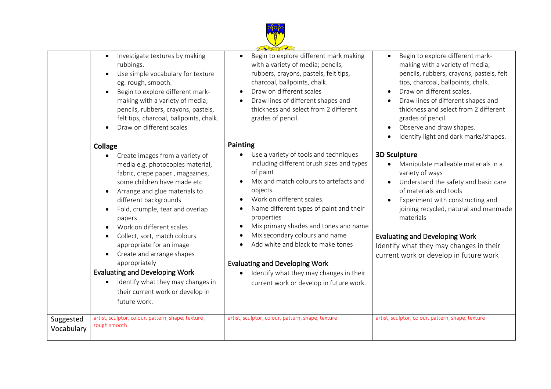

|                         |                                                                                                                                                                                                                                                                                                                                                                                                                                                                                   | Founded 1871                                                                                                                                                                                                                                                                                                                                                                                                                                                  |                                                                                                                                                                                                                                                                                                                                                                                       |
|-------------------------|-----------------------------------------------------------------------------------------------------------------------------------------------------------------------------------------------------------------------------------------------------------------------------------------------------------------------------------------------------------------------------------------------------------------------------------------------------------------------------------|---------------------------------------------------------------------------------------------------------------------------------------------------------------------------------------------------------------------------------------------------------------------------------------------------------------------------------------------------------------------------------------------------------------------------------------------------------------|---------------------------------------------------------------------------------------------------------------------------------------------------------------------------------------------------------------------------------------------------------------------------------------------------------------------------------------------------------------------------------------|
|                         | Investigate textures by making<br>rubbings.<br>Use simple vocabulary for texture<br>eg. rough, smooth.<br>Begin to explore different mark-<br>making with a variety of media;<br>pencils, rubbers, crayons, pastels,<br>felt tips, charcoal, ballpoints, chalk.<br>Draw on different scales                                                                                                                                                                                       | Begin to explore different mark making<br>$\bullet$<br>with a variety of media; pencils,<br>rubbers, crayons, pastels, felt tips,<br>charcoal, ballpoints, chalk.<br>Draw on different scales<br>Draw lines of different shapes and<br>thickness and select from 2 different<br>grades of pencil.                                                                                                                                                             | Begin to explore different mark-<br>making with a variety of media;<br>pencils, rubbers, crayons, pastels, felt<br>tips, charcoal, ballpoints, chalk.<br>Draw on different scales.<br>$\bullet$<br>Draw lines of different shapes and<br>thickness and select from 2 different<br>grades of pencil.<br>Observe and draw shapes.<br>$\bullet$<br>Identify light and dark marks/shapes. |
|                         | <b>Collage</b><br>Create images from a variety of                                                                                                                                                                                                                                                                                                                                                                                                                                 | <b>Painting</b><br>Use a variety of tools and techniques<br>$\bullet$                                                                                                                                                                                                                                                                                                                                                                                         | <b>3D Sculpture</b>                                                                                                                                                                                                                                                                                                                                                                   |
|                         | media e.g. photocopies material,<br>fabric, crepe paper, magazines,<br>some children have made etc<br>Arrange and glue materials to<br>different backgrounds<br>Fold, crumple, tear and overlap<br>papers<br>Work on different scales<br>Collect, sort, match colours<br>appropriate for an image<br>Create and arrange shapes<br>appropriately<br><b>Evaluating and Developing Work</b><br>Identify what they may changes in<br>their current work or develop in<br>future work. | including different brush sizes and types<br>of paint<br>Mix and match colours to artefacts and<br>objects.<br>Work on different scales.<br>Name different types of paint and their<br>properties<br>Mix primary shades and tones and name<br>$\bullet$<br>Mix secondary colours and name<br>Add white and black to make tones<br><b>Evaluating and Developing Work</b><br>Identify what they may changes in their<br>current work or develop in future work. | Manipulate malleable materials in a<br>variety of ways<br>Understand the safety and basic care<br>of materials and tools<br>Experiment with constructing and<br>joining recycled, natural and manmade<br>materials<br><b>Evaluating and Developing Work</b><br>Identify what they may changes in their<br>current work or develop in future work                                      |
| Suggested<br>Vocabulary | artist, sculptor, colour, pattern, shape, texture,<br>rough smooth                                                                                                                                                                                                                                                                                                                                                                                                                | artist, sculptor, colour, pattern, shape, texture                                                                                                                                                                                                                                                                                                                                                                                                             | artist, sculptor, colour, pattern, shape, texture                                                                                                                                                                                                                                                                                                                                     |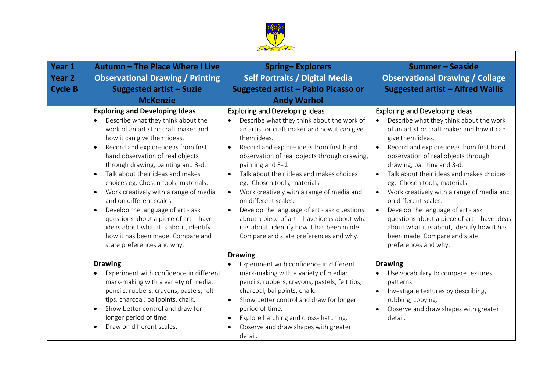

| Year 1         | Autumn - The Place Where I Live                                                                                                                                                                                                                                                                                                                                                                                                                                                                                                                                                                                                                                                  | <b>Spring-Explorers</b>                                                                                                                                                                                                                                                                                                                                                                                                                                                                                                                                                                                                               | Summer - Seaside                                                                                                                                                                                                                                                                                                                                                                                                                                                                                                                                                                                                                         |
|----------------|----------------------------------------------------------------------------------------------------------------------------------------------------------------------------------------------------------------------------------------------------------------------------------------------------------------------------------------------------------------------------------------------------------------------------------------------------------------------------------------------------------------------------------------------------------------------------------------------------------------------------------------------------------------------------------|---------------------------------------------------------------------------------------------------------------------------------------------------------------------------------------------------------------------------------------------------------------------------------------------------------------------------------------------------------------------------------------------------------------------------------------------------------------------------------------------------------------------------------------------------------------------------------------------------------------------------------------|------------------------------------------------------------------------------------------------------------------------------------------------------------------------------------------------------------------------------------------------------------------------------------------------------------------------------------------------------------------------------------------------------------------------------------------------------------------------------------------------------------------------------------------------------------------------------------------------------------------------------------------|
| <b>Year 2</b>  | <b>Observational Drawing / Printing</b>                                                                                                                                                                                                                                                                                                                                                                                                                                                                                                                                                                                                                                          | <b>Self Portraits / Digital Media</b>                                                                                                                                                                                                                                                                                                                                                                                                                                                                                                                                                                                                 | <b>Observational Drawing / Collage</b>                                                                                                                                                                                                                                                                                                                                                                                                                                                                                                                                                                                                   |
| <b>Cycle B</b> | <b>Suggested artist - Suzie</b>                                                                                                                                                                                                                                                                                                                                                                                                                                                                                                                                                                                                                                                  | <b>Suggested artist - Pablo Picasso or</b>                                                                                                                                                                                                                                                                                                                                                                                                                                                                                                                                                                                            | <b>Suggested artist - Alfred Wallis</b>                                                                                                                                                                                                                                                                                                                                                                                                                                                                                                                                                                                                  |
|                | <b>McKenzie</b>                                                                                                                                                                                                                                                                                                                                                                                                                                                                                                                                                                                                                                                                  | <b>Andy Warhol</b>                                                                                                                                                                                                                                                                                                                                                                                                                                                                                                                                                                                                                    |                                                                                                                                                                                                                                                                                                                                                                                                                                                                                                                                                                                                                                          |
|                | <b>Exploring and Developing Ideas</b><br>Describe what they think about the<br>$\bullet$<br>work of an artist or craft maker and<br>how it can give them ideas.<br>Record and explore ideas from first<br>$\bullet$<br>hand observation of real objects<br>through drawing, painting and 3-d.<br>Talk about their ideas and makes<br>$\bullet$<br>choices eg. Chosen tools, materials.<br>Work creatively with a range of media<br>$\bullet$<br>and on different scales.<br>Develop the language of art - ask<br>$\bullet$<br>questions about a piece of art - have<br>ideas about what it is about, identify<br>how it has been made. Compare and<br>state preferences and why. | <b>Exploring and Developing Ideas</b><br>Describe what they think about the work of<br>an artist or craft maker and how it can give<br>them ideas.<br>Record and explore ideas from first hand<br>observation of real objects through drawing,<br>painting and 3-d.<br>Talk about their ideas and makes choices<br>$\bullet$<br>eg Chosen tools, materials.<br>Work creatively with a range of media and<br>$\bullet$<br>on different scales.<br>Develop the language of art - ask questions<br>about a piece of art - have ideas about what<br>it is about, identify how it has been made.<br>Compare and state preferences and why. | <b>Exploring and Developing Ideas</b><br>Describe what they think about the work<br>of an artist or craft maker and how it can<br>give them ideas.<br>Record and explore ideas from first hand<br>$\bullet$<br>observation of real objects through<br>drawing, painting and 3-d.<br>Talk about their ideas and makes choices<br>$\bullet$<br>eg Chosen tools, materials.<br>Work creatively with a range of media and<br>on different scales.<br>Develop the language of art - ask<br>questions about a piece of art - have ideas<br>about what it is about, identify how it has<br>been made. Compare and state<br>preferences and why. |
|                | <b>Drawing</b><br>Experiment with confidence in different<br>mark-making with a variety of media;<br>pencils, rubbers, crayons, pastels, felt<br>tips, charcoal, ballpoints, chalk.<br>Show better control and draw for<br>$\bullet$<br>longer period of time.<br>Draw on different scales.<br>$\bullet$                                                                                                                                                                                                                                                                                                                                                                         | <b>Drawing</b><br>Experiment with confidence in different<br>mark-making with a variety of media;<br>pencils, rubbers, crayons, pastels, felt tips,<br>charcoal, ballpoints, chalk.<br>Show better control and draw for longer<br>$\bullet$<br>period of time.<br>Explore hatching and cross-hatching.<br>$\bullet$<br>Observe and draw shapes with greater<br>detail.                                                                                                                                                                                                                                                                | <b>Drawing</b><br>Use vocabulary to compare textures,<br>patterns.<br>Investigate textures by describing,<br>$\bullet$<br>rubbing, copying.<br>Observe and draw shapes with greater<br>detail.                                                                                                                                                                                                                                                                                                                                                                                                                                           |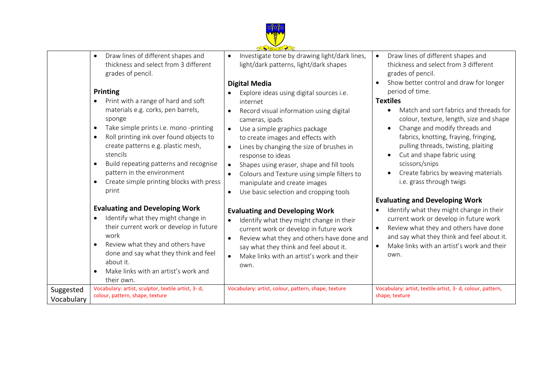

 Draw lines of different shapes and thickness and select from 3 different grades of pencil.

#### **Printing**

Vocabulary

- Print with a range of hard and soft materials e.g. corks, pen barrels, sponge
- Take simple prints i.e. mono -printing
- Roll printing ink over found objects to create patterns e.g. plastic mesh, stencils
- Build repeating patterns and recognise pattern in the environment
- Create simple printing blocks with press print

## **Evaluating and Developing Work**

- Identify what they might change in their current work or develop in future work Review what they and others have done and say what they think and feel
- about it. Make links with an artist's work and their own. Suggested Vocabulary: artist, sculptor, textile artist, 3- d,

colour, pattern, shape, texture

• Investigate tone by drawing light/dark lines, light/dark patterns, light/dark shapes

# **Digital Media**

- Explore ideas using digital sources i.e. internet
- Record visual information using digital cameras, ipads
- Use a simple graphics package to create images and effects with
- Lines by changing the size of brushes in response to ideas
- Shapes using eraser, shape and fill tools
- Colours and Texture using simple filters to manipulate and create images
- Use basic selection and cropping tools

### **Evaluating and Developing Work**

- $\bullet$  Identify what they might change in their current work or develop in future work
- Review what they and others have done and say what they think and feel about it.
- Make links with an artist's work and their own.
- Draw lines of different shapes and thickness and select from 3 different grades of pencil.
- Show better control and draw for longer period of time.

### **Textiles**

- Match and sort fabrics and threads for colour, texture, length, size and shape
- Change and modify threads and fabrics, knotting, fraying, fringing, pulling threads, twisting, plaiting
- Cut and shape fabric using scissors/snips
- Create fabrics by weaving materials i.e. grass through twigs

## **Evaluating and Developing Work**

- $\bullet$  Identify what they might change in their current work or develop in future work
- Review what they and others have done and say what they think and feel about it.
- Make links with an artist's work and their own.

Vocabulary: artist, colour, pattern, shape, texture Vocabulary: artist, textile artist, 3- d, colour, pattern, shape, texture